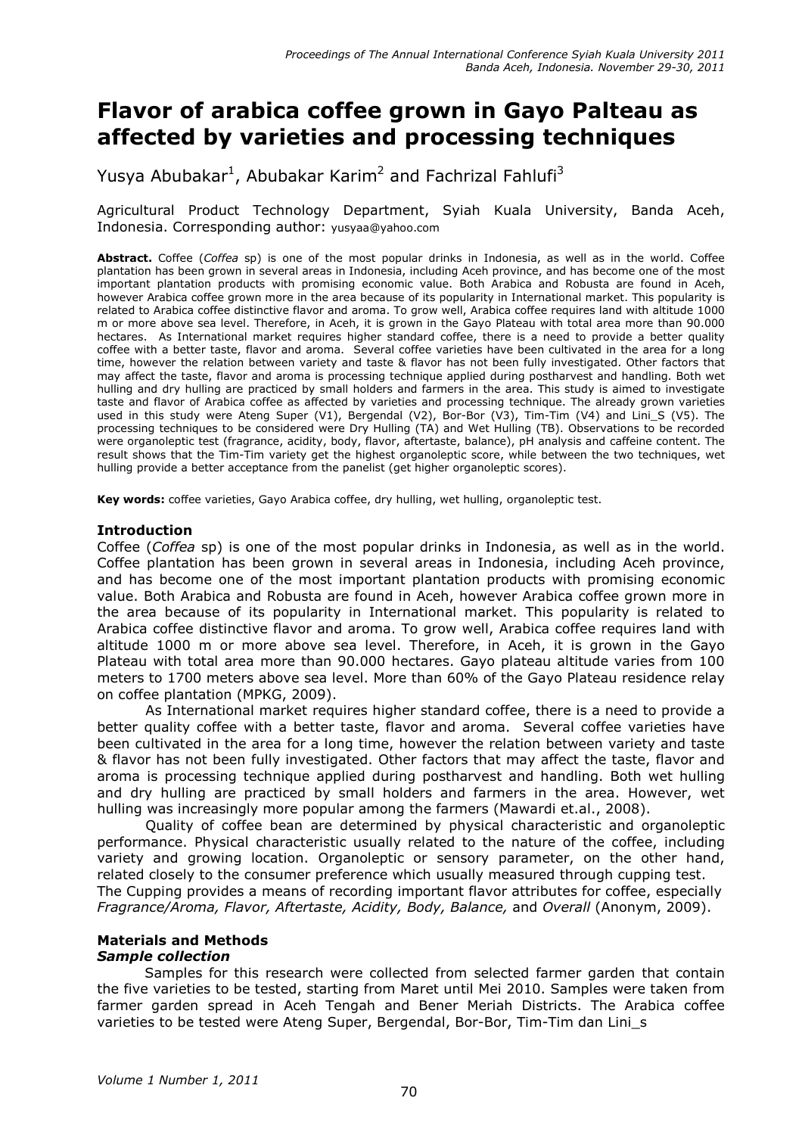# Flavor of arabica coffee grown in Gayo Palteau as affected by varieties and processing techniques

Yusya Abubakar<sup>1</sup>, Abubakar Karim<sup>2</sup> and Fachrizal Fahlufi<sup>3</sup>

Agricultural Product Technology Department, Syiah Kuala University, Banda Aceh, Indonesia. Corresponding author: yusyaa@yahoo.com

Abstract. Coffee (Coffea sp) is one of the most popular drinks in Indonesia, as well as in the world. Coffee plantation has been grown in several areas in Indonesia, including Aceh province, and has become one of the most important plantation products with promising economic value. Both Arabica and Robusta are found in Aceh, however Arabica coffee grown more in the area because of its popularity in International market. This popularity is related to Arabica coffee distinctive flavor and aroma. To grow well, Arabica coffee requires land with altitude 1000 m or more above sea level. Therefore, in Aceh, it is grown in the Gayo Plateau with total area more than 90.000 hectares. As International market requires higher standard coffee, there is a need to provide a better quality coffee with a better taste, flavor and aroma. Several coffee varieties have been cultivated in the area for a long time, however the relation between variety and taste & flavor has not been fully investigated. Other factors that may affect the taste, flavor and aroma is processing technique applied during postharvest and handling. Both wet hulling and dry hulling are practiced by small holders and farmers in the area. This study is aimed to investigate taste and flavor of Arabica coffee as affected by varieties and processing technique. The already grown varieties used in this study were Ateng Super (V1), Bergendal (V2), Bor-Bor (V3), Tim-Tim (V4) and Lini\_S (V5). The processing techniques to be considered were Dry Hulling (TA) and Wet Hulling (TB). Observations to be recorded were organoleptic test (fragrance, acidity, body, flavor, aftertaste, balance), pH analysis and caffeine content. The result shows that the Tim-Tim variety get the highest organoleptic score, while between the two techniques, wet hulling provide a better acceptance from the panelist (get higher organoleptic scores).

Key words: coffee varieties, Gayo Arabica coffee, dry hulling, wet hulling, organoleptic test.

#### Introduction

Coffee (Coffea sp) is one of the most popular drinks in Indonesia, as well as in the world. Coffee plantation has been grown in several areas in Indonesia, including Aceh province, and has become one of the most important plantation products with promising economic value. Both Arabica and Robusta are found in Aceh, however Arabica coffee grown more in the area because of its popularity in International market. This popularity is related to Arabica coffee distinctive flavor and aroma. To grow well, Arabica coffee requires land with altitude 1000 m or more above sea level. Therefore, in Aceh, it is grown in the Gayo Plateau with total area more than 90.000 hectares. Gayo plateau altitude varies from 100 meters to 1700 meters above sea level. More than 60% of the Gayo Plateau residence relay on coffee plantation (MPKG, 2009).

As International market requires higher standard coffee, there is a need to provide a better quality coffee with a better taste, flavor and aroma. Several coffee varieties have been cultivated in the area for a long time, however the relation between variety and taste & flavor has not been fully investigated. Other factors that may affect the taste, flavor and aroma is processing technique applied during postharvest and handling. Both wet hulling and dry hulling are practiced by small holders and farmers in the area. However, wet hulling was increasingly more popular among the farmers (Mawardi et.al., 2008).

Quality of coffee bean are determined by physical characteristic and organoleptic performance. Physical characteristic usually related to the nature of the coffee, including variety and growing location. Organoleptic or sensory parameter, on the other hand, related closely to the consumer preference which usually measured through cupping test. The Cupping provides a means of recording important flavor attributes for coffee, especially Fragrance/Aroma, Flavor, Aftertaste, Acidity, Body, Balance, and Overall (Anonym, 2009).

# Materials and Methods

# Sample collection

 Samples for this research were collected from selected farmer garden that contain the five varieties to be tested, starting from Maret until Mei 2010. Samples were taken from farmer garden spread in Aceh Tengah and Bener Meriah Districts. The Arabica coffee varieties to be tested were Ateng Super, Bergendal, Bor-Bor, Tim-Tim dan Lini\_s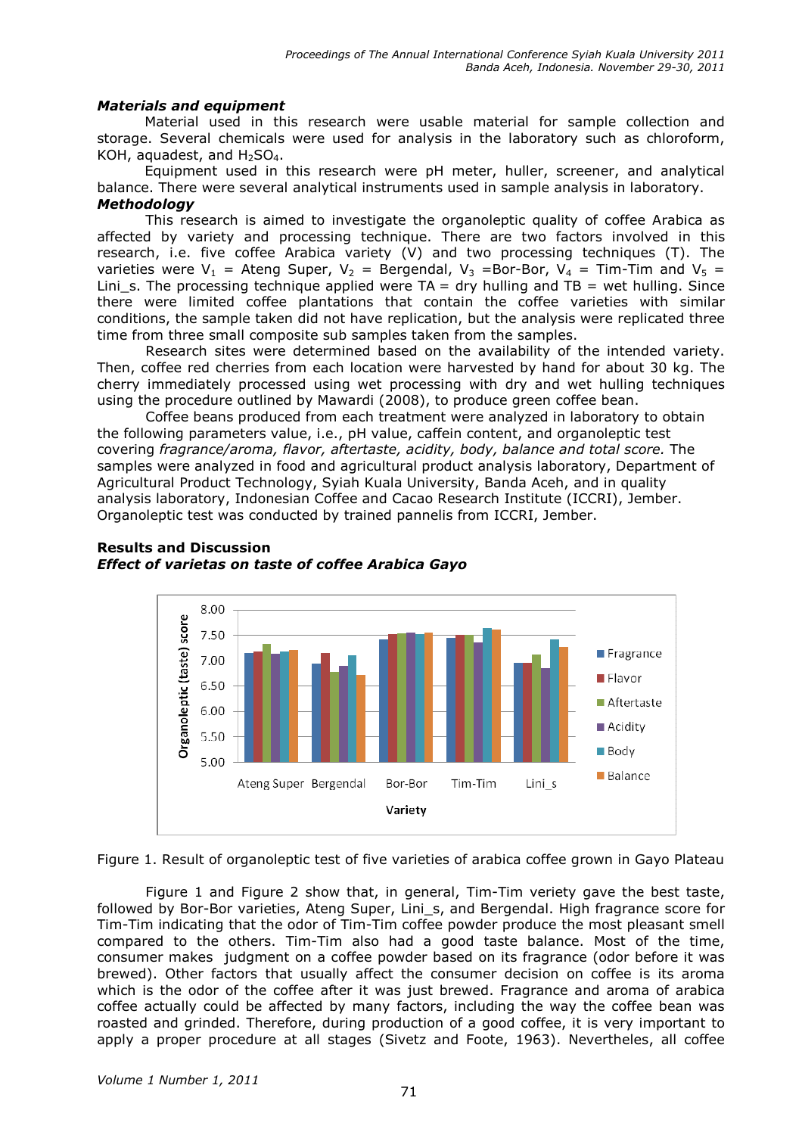#### Materials and equipment

 Material used in this research were usable material for sample collection and storage. Several chemicals were used for analysis in the laboratory such as chloroform, KOH, aquadest, and  $H_2SO_4$ .

 Equipment used in this research were pH meter, huller, screener, and analytical balance. There were several analytical instruments used in sample analysis in laboratory. **Methodology** 

This research is aimed to investigate the organoleptic quality of coffee Arabica as affected by variety and processing technique. There are two factors involved in this research, i.e. five coffee Arabica variety (V) and two processing techniques (T). The varieties were  $V_1$  = Ateng Super,  $V_2$  = Bergendal,  $V_3$  =Bor-Bor,  $V_4$  = Tim-Tim and  $V_5$  = Lini\_s. The processing technique applied were  $TA = dry$  hulling and  $TB = wet$  hulling. Since there were limited coffee plantations that contain the coffee varieties with similar conditions, the sample taken did not have replication, but the analysis were replicated three time from three small composite sub samples taken from the samples.

Research sites were determined based on the availability of the intended variety. Then, coffee red cherries from each location were harvested by hand for about 30 kg. The cherry immediately processed using wet processing with dry and wet hulling techniques using the procedure outlined by Mawardi (2008), to produce green coffee bean.

Coffee beans produced from each treatment were analyzed in laboratory to obtain the following parameters value, i.e., pH value, caffein content, and organoleptic test covering fragrance/aroma, flavor, aftertaste, acidity, body, balance and total score. The samples were analyzed in food and agricultural product analysis laboratory, Department of Agricultural Product Technology, Syiah Kuala University, Banda Aceh, and in quality analysis laboratory, Indonesian Coffee and Cacao Research Institute (ICCRI), Jember. Organoleptic test was conducted by trained pannelis from ICCRI, Jember.



## Results and Discussion Effect of varietas on taste of coffee Arabica Gayo

Figure 1. Result of organoleptic test of five varieties of arabica coffee grown in Gayo Plateau

Figure 1 and Figure 2 show that, in general, Tim-Tim veriety gave the best taste, followed by Bor-Bor varieties, Ateng Super, Lini s, and Bergendal. High fragrance score for Tim-Tim indicating that the odor of Tim-Tim coffee powder produce the most pleasant smell compared to the others. Tim-Tim also had a good taste balance. Most of the time, consumer makes judgment on a coffee powder based on its fragrance (odor before it was brewed). Other factors that usually affect the consumer decision on coffee is its aroma which is the odor of the coffee after it was just brewed. Fragrance and aroma of arabica coffee actually could be affected by many factors, including the way the coffee bean was roasted and grinded. Therefore, during production of a good coffee, it is very important to apply a proper procedure at all stages (Sivetz and Foote, 1963). Nevertheles, all coffee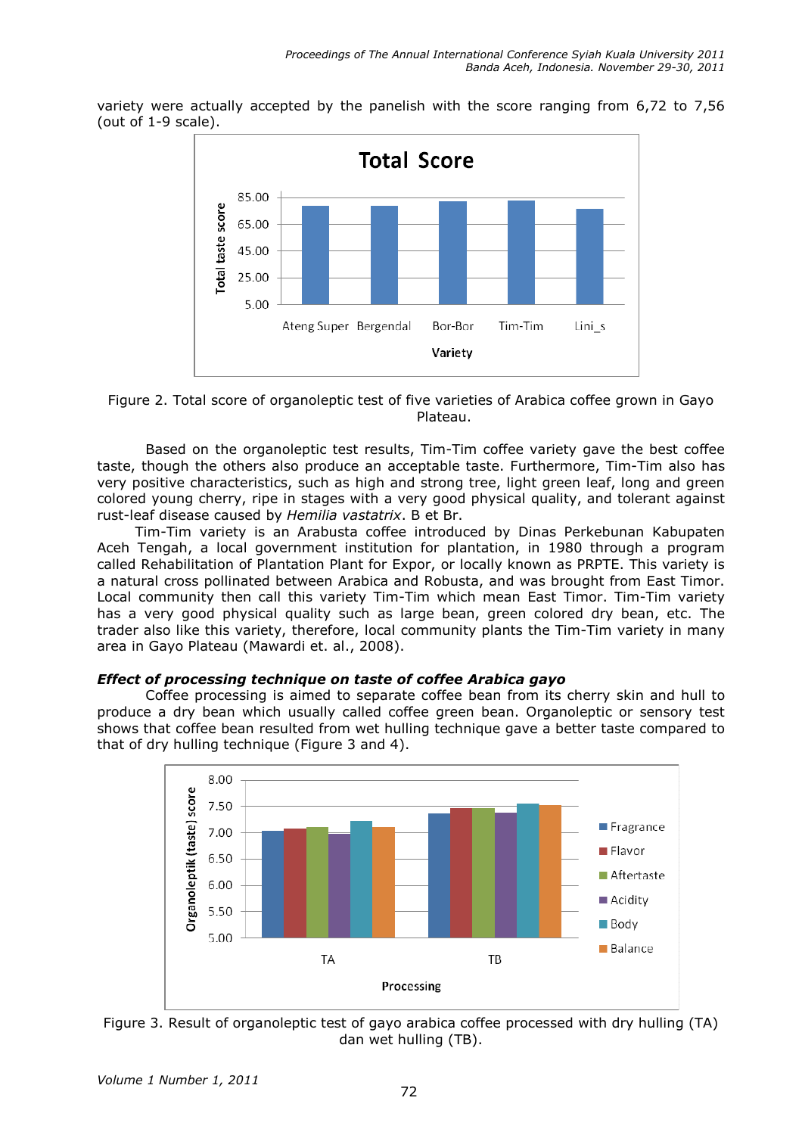variety were actually accepted by the panelish with the score ranging from 6,72 to 7,56 (out of 1-9 scale).



Figure 2. Total score of organoleptic test of five varieties of Arabica coffee grown in Gayo Plateau.

Based on the organoleptic test results, Tim-Tim coffee variety gave the best coffee taste, though the others also produce an acceptable taste. Furthermore, Tim-Tim also has very positive characteristics, such as high and strong tree, light green leaf, long and green colored young cherry, ripe in stages with a very good physical quality, and tolerant against rust-leaf disease caused by Hemilia vastatrix. B et Br.

 Tim-Tim variety is an Arabusta coffee introduced by Dinas Perkebunan Kabupaten Aceh Tengah, a local government institution for plantation, in 1980 through a program called Rehabilitation of Plantation Plant for Expor, or locally known as PRPTE. This variety is a natural cross pollinated between Arabica and Robusta, and was brought from East Timor. Local community then call this variety Tim-Tim which mean East Timor. Tim-Tim variety has a very good physical quality such as large bean, green colored dry bean, etc. The trader also like this variety, therefore, local community plants the Tim-Tim variety in many area in Gayo Plateau (Mawardi et. al., 2008).

#### Effect of processing technique on taste of coffee Arabica gayo

Coffee processing is aimed to separate coffee bean from its cherry skin and hull to produce a dry bean which usually called coffee green bean. Organoleptic or sensory test shows that coffee bean resulted from wet hulling technique gave a better taste compared to that of dry hulling technique (Figure 3 and 4).



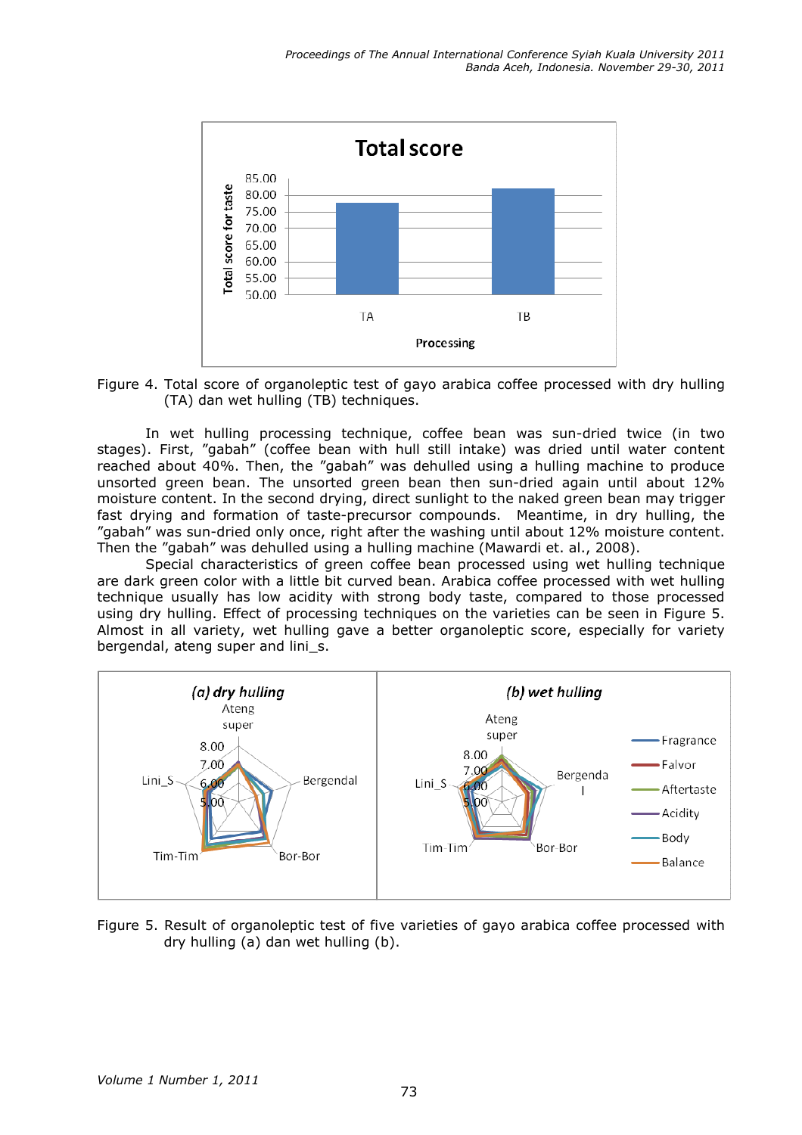

Figure 4. Total score of organoleptic test of gayo arabica coffee processed with dry hulling (TA) dan wet hulling (TB) techniques.

In wet hulling processing technique, coffee bean was sun-dried twice (in two stages). First, "gabah" (coffee bean with hull still intake) was dried until water content reached about 40%. Then, the "gabah" was dehulled using a hulling machine to produce unsorted green bean. The unsorted green bean then sun-dried again until about 12% moisture content. In the second drying, direct sunlight to the naked green bean may trigger fast drying and formation of taste-precursor compounds. Meantime, in dry hulling, the "gabah" was sun-dried only once, right after the washing until about 12% moisture content. Then the "gabah" was dehulled using a hulling machine (Mawardi et. al., 2008).

Special characteristics of green coffee bean processed using wet hulling technique are dark green color with a little bit curved bean. Arabica coffee processed with wet hulling technique usually has low acidity with strong body taste, compared to those processed using dry hulling. Effect of processing techniques on the varieties can be seen in Figure 5. Almost in all variety, wet hulling gave a better organoleptic score, especially for variety bergendal, ateng super and lini\_s.



Figure 5. Result of organoleptic test of five varieties of gayo arabica coffee processed with dry hulling (a) dan wet hulling (b).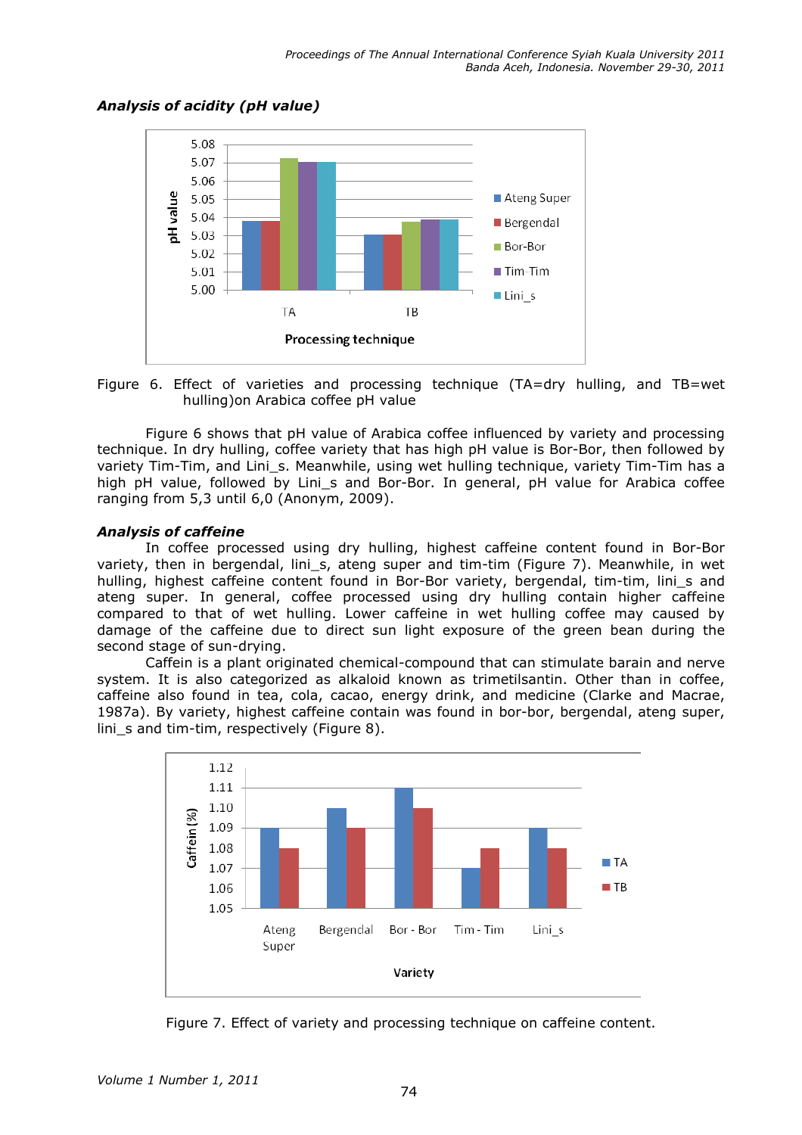

## Analysis of acidity (pH value)

Figure 6. Effect of varieties and processing technique (TA=dry hulling, and TB=wet hulling)on Arabica coffee pH value

Figure 6 shows that pH value of Arabica coffee influenced by variety and processing technique. In dry hulling, coffee variety that has high pH value is Bor-Bor, then followed by variety Tim-Tim, and Lini\_s. Meanwhile, using wet hulling technique, variety Tim-Tim has a high pH value, followed by Lini s and Bor-Bor. In general, pH value for Arabica coffee ranging from 5,3 until 6,0 (Anonym, 2009).

#### Analysis of caffeine

In coffee processed using dry hulling, highest caffeine content found in Bor-Bor variety, then in bergendal, lini s, ateng super and tim-tim (Figure 7). Meanwhile, in wet hulling, highest caffeine content found in Bor-Bor variety, bergendal, tim-tim, lini\_s and ateng super. In general, coffee processed using dry hulling contain higher caffeine compared to that of wet hulling. Lower caffeine in wet hulling coffee may caused by damage of the caffeine due to direct sun light exposure of the green bean during the second stage of sun-drying.

Caffein is a plant originated chemical-compound that can stimulate barain and nerve system. It is also categorized as alkaloid known as trimetilsantin. Other than in coffee, caffeine also found in tea, cola, cacao, energy drink, and medicine (Clarke and Macrae, 1987a). By variety, highest caffeine contain was found in bor-bor, bergendal, ateng super, lini s and tim-tim, respectively (Figure 8).